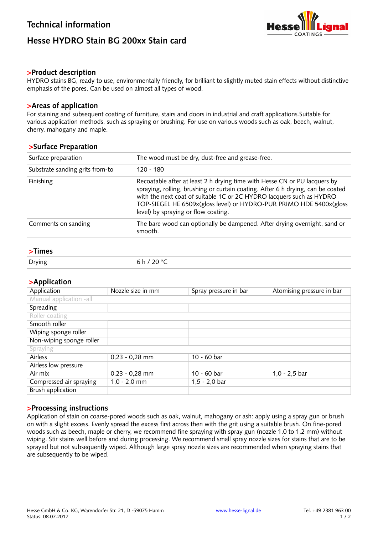# **Hesse HYDRO Stain BG 200xx Stain card**



#### **>Product description**

HYDRO stains BG, ready to use, environmentally friendly, for brilliant to slightly muted stain effects without distinctive emphasis of the pores. Can be used on almost all types of wood.

#### **>Areas of application**

For staining and subsequent coating of furniture, stairs and doors in industrial and craft applications.Suitable for various application methods, such as spraying or brushing. For use on various woods such as oak, beech, walnut, cherry, mahogany and maple.

#### **>Surface Preparation**

| Surface preparation             | The wood must be dry, dust-free and grease-free.                                                                                                                                                                                                                                                                                                   |  |
|---------------------------------|----------------------------------------------------------------------------------------------------------------------------------------------------------------------------------------------------------------------------------------------------------------------------------------------------------------------------------------------------|--|
| Substrate sanding grits from-to | $120 - 180$                                                                                                                                                                                                                                                                                                                                        |  |
| Finishing                       | Recoatable after at least 2 h drying time with Hesse CN or PU lacquers by<br>spraying, rolling, brushing or curtain coating. After 6 h drying, can be coated<br>with the next coat of suitable 1C or 2C HYDRO lacquers such as HYDRO<br>TOP-SIEGEL HE 6509x(gloss level) or HYDRO-PUR PRIMO HDE 5400x(gloss<br>level) by spraying or flow coating. |  |
| Comments on sanding             | The bare wood can optionally be dampened. After drying overnight, sand or<br>smooth.                                                                                                                                                                                                                                                               |  |

## **>Times**

| סייי <i>נ</i> י ~<br>____ |
|---------------------------|
|---------------------------|

# **>Application**

| Application              | Nozzle size in mm | Spray pressure in bar | Atomising pressure in bar |
|--------------------------|-------------------|-----------------------|---------------------------|
| Manual application -all  |                   |                       |                           |
| Spreading                |                   |                       |                           |
| Roller coating           |                   |                       |                           |
| Smooth roller            |                   |                       |                           |
| Wiping sponge roller     |                   |                       |                           |
| Non-wiping sponge roller |                   |                       |                           |
| Spraying                 |                   |                       |                           |
| Airless                  | $0,23 - 0,28$ mm  | 10 - 60 bar           |                           |
| Airless low pressure     |                   |                       |                           |
| Air mix                  | $0,23 - 0,28$ mm  | 10 - 60 bar           | $1,0 - 2,5$ bar           |
| Compressed air spraying  | $1,0 - 2,0$ mm    | $1,5 - 2,0$ bar       |                           |
| Brush application        |                   |                       |                           |

## **>Processing instructions**

Application of stain on coarse-pored woods such as oak, walnut, mahogany or ash: apply using a spray gun or brush on with a slight excess. Evenly spread the excess first across then with the grit using a suitable brush. On fine-pored woods such as beech, maple or cherry, we recommend fine spraying with spray gun (nozzle 1.0 to 1.2 mm) without wiping. Stir stains well before and during processing. We recommend small spray nozzle sizes for stains that are to be sprayed but not subsequently wiped. Although large spray nozzle sizes are recommended when spraying stains that are subsequently to be wiped.